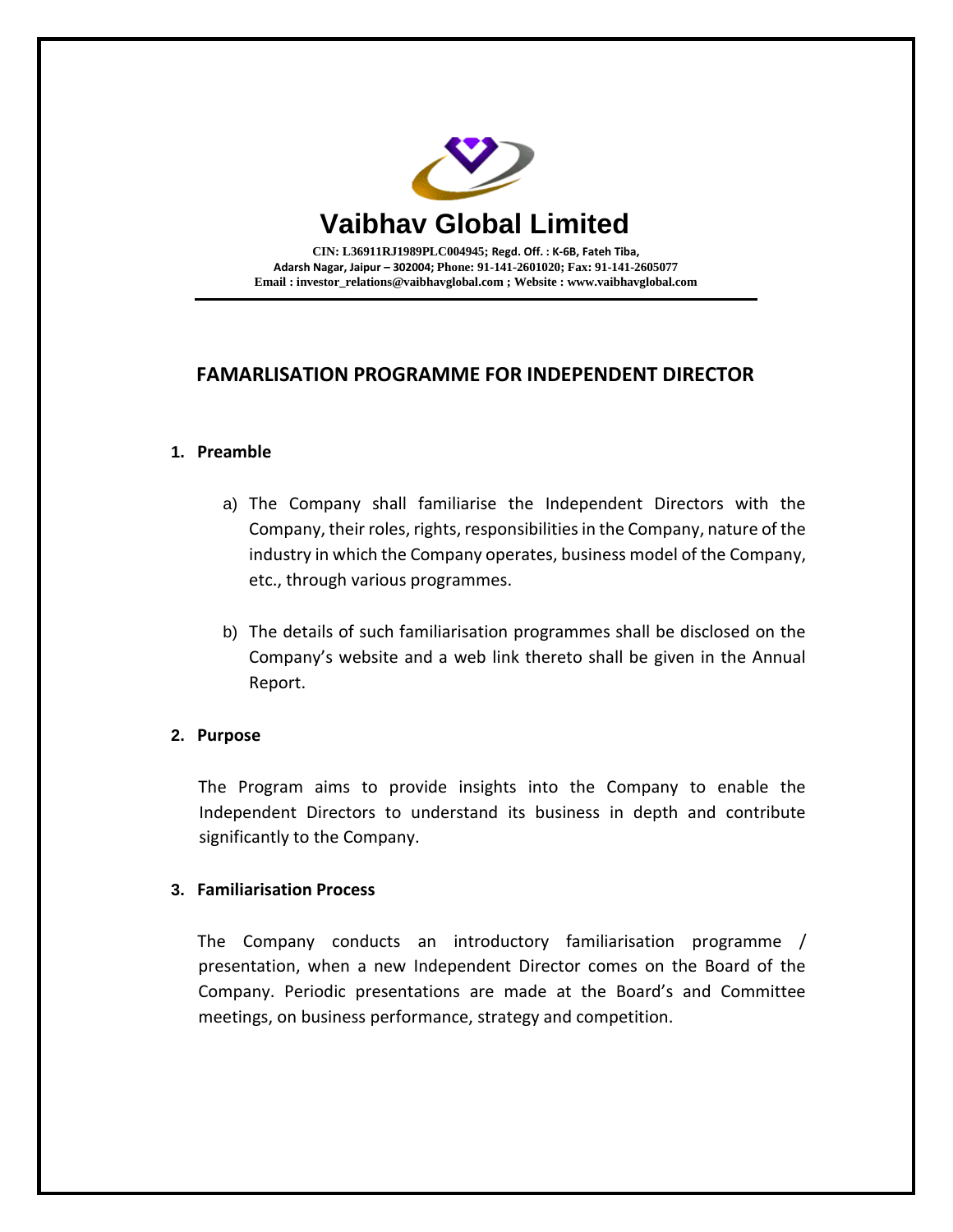

**CIN: L36911RJ1989PLC004945; Regd. Off. : K-6B, Fateh Tiba, Adarsh Nagar, Jaipur – 302004; Phone: 91-141-2601020; Fax: 91-141-2605077 Email [: investor\\_relations@vaibhavglobal.com](mailto:vgl@vaibhavglobal.com) ; Website [: www.vaibhavglobal.com](http://www.vaibhavglobal.com/)**

## **FAMARLISATION PROGRAMME FOR INDEPENDENT DIRECTOR**

## **1. Preamble**

- a) The Company shall familiarise the Independent Directors with the Company, their roles, rights, responsibilities in the Company, nature of the industry in which the Company operates, business model of the Company, etc., through various programmes.
- b) The details of such familiarisation programmes shall be disclosed on the Company's website and a web link thereto shall be given in the Annual Report.

## **2. Purpose**

The Program aims to provide insights into the Company to enable the Independent Directors to understand its business in depth and contribute significantly to the Company.

## **3. Familiarisation Process**

The Company conducts an introductory familiarisation programme / presentation, when a new Independent Director comes on the Board of the Company. Periodic presentations are made at the Board's and Committee meetings, on business performance, strategy and competition.